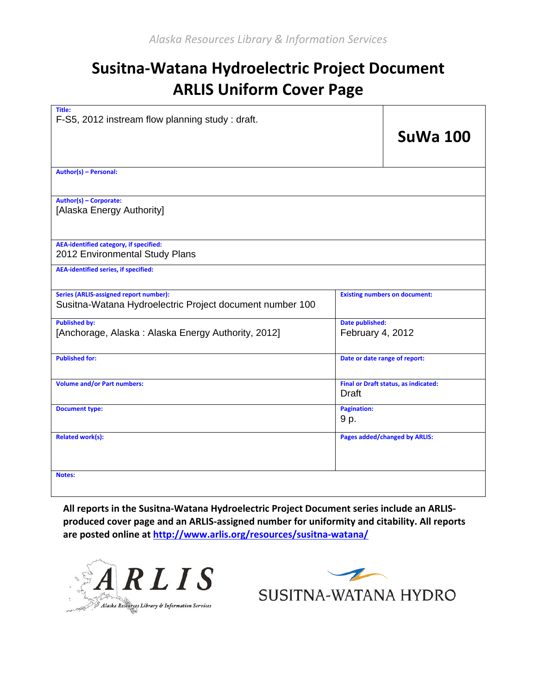# **Susitna-Watana Hydroelectric Project Document ARLIS Uniform Cover Page**

| Title:<br>F-S5, 2012 instream flow planning study: draft.                                                 |                                                             |                 |
|-----------------------------------------------------------------------------------------------------------|-------------------------------------------------------------|-----------------|
|                                                                                                           |                                                             | <b>SuWa 100</b> |
| Author(s) - Personal:                                                                                     |                                                             |                 |
| Author(s) - Corporate:<br>[Alaska Energy Authority]                                                       |                                                             |                 |
| <b>AEA-identified category, if specified:</b><br>2012 Environmental Study Plans                           |                                                             |                 |
| <b>AEA-identified series, if specified:</b>                                                               |                                                             |                 |
| <b>Series (ARLIS-assigned report number):</b><br>Susitna-Watana Hydroelectric Project document number 100 | <b>Existing numbers on document:</b>                        |                 |
| <b>Published by:</b><br>[Anchorage, Alaska: Alaska Energy Authority, 2012]                                | Date published:<br>February 4, 2012                         |                 |
| <b>Published for:</b>                                                                                     | Date or date range of report:                               |                 |
| <b>Volume and/or Part numbers:</b>                                                                        | <b>Final or Draft status, as indicated:</b><br><b>Draft</b> |                 |
| <b>Document type:</b>                                                                                     | <b>Pagination:</b><br>9 p.                                  |                 |
| <b>Related work(s):</b>                                                                                   | <b>Pages added/changed by ARLIS:</b>                        |                 |
| <b>Notes:</b>                                                                                             |                                                             |                 |

**All reports in the Susitna-Watana Hydroelectric Project Document series include an ARLISproduced cover page and an ARLIS-assigned number for uniformity and citability. All reports are posted online a[t http://www.arlis.org/resources/susitna-watana/](http://www.arlis.org/resources/susitna-watana/)**



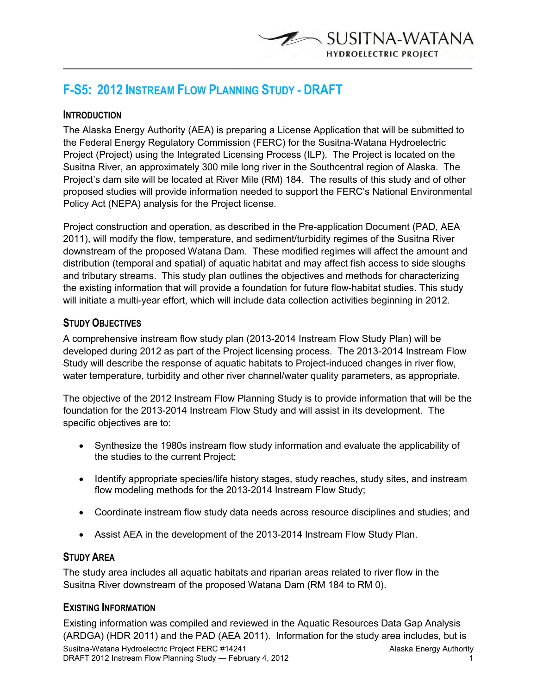**F-S5: 2012 INSTREAM FLOW PLANNING STUDY - DRAFT** 

## **INTRODUCTION**

The Alaska Energy Authority (AEA) is preparing a License Application that will be submitted to the Federal Energy Regulatory Commission (FERC) for the Susitna-Watana Hydroelectric Project (Project) using the Integrated Licensing Process (ILP). The Project is located on the Susitna River, an approximately 300 mile long river in the Southcentral region of Alaska. The Project's dam site will be located at River Mile (RM) 184. The results of this study and of other proposed studies will provide information needed to support the FERC's National Environmental Policy Act (NEPA) analysis for the Project license.

 $\overline{\phantom{a}}$  , and the contribution of the contribution of the contribution of the contribution of the contribution of the contribution of the contribution of the contribution of the contribution of the contribution of the

SUSITNA-WATANA

**HYDROELECTRIC PROJECT** 

Project construction and operation, as described in the Pre-application Document (PAD, AEA 2011), will modify the flow, temperature, and sediment/turbidity regimes of the Susitna River downstream of the proposed Watana Dam. These modified regimes will affect the amount and distribution (temporal and spatial) of aquatic habitat and may affect fish access to side sloughs and tributary streams. This study plan outlines the objectives and methods for characterizing the existing information that will provide a foundation for future flow-habitat studies. This study will initiate a multi-year effort, which will include data collection activities beginning in 2012.

## **STUDY OBJECTIVES**

A comprehensive instream flow study plan (2013-2014 Instream Flow Study Plan) will be developed during 2012 as part of the Project licensing process. The 2013-2014 Instream Flow Study will describe the response of aquatic habitats to Project-induced changes in river flow, water temperature, turbidity and other river channel/water quality parameters, as appropriate.

The objective of the 2012 Instream Flow Planning Study is to provide information that will be the foundation for the 2013-2014 Instream Flow Study and will assist in its development. The specific objectives are to:

- Synthesize the 1980s instream flow study information and evaluate the applicability of the studies to the current Project;
- Identify appropriate species/life history stages, study reaches, study sites, and instream flow modeling methods for the 2013-2014 Instream Flow Study;
- Coordinate instream flow study data needs across resource disciplines and studies; and
- Assist AEA in the development of the 2013-2014 Instream Flow Study Plan.

# **STUDY AREA**

The study area includes all aquatic habitats and riparian areas related to river flow in the Susitna River downstream of the proposed Watana Dam (RM 184 to RM 0).

## **EXISTING INFORMATION**

Existing information was compiled and reviewed in the Aquatic Resources Data Gap Analysis (ARDGA) (HDR 2011) and the PAD (AEA 2011). Information for the study area includes, but is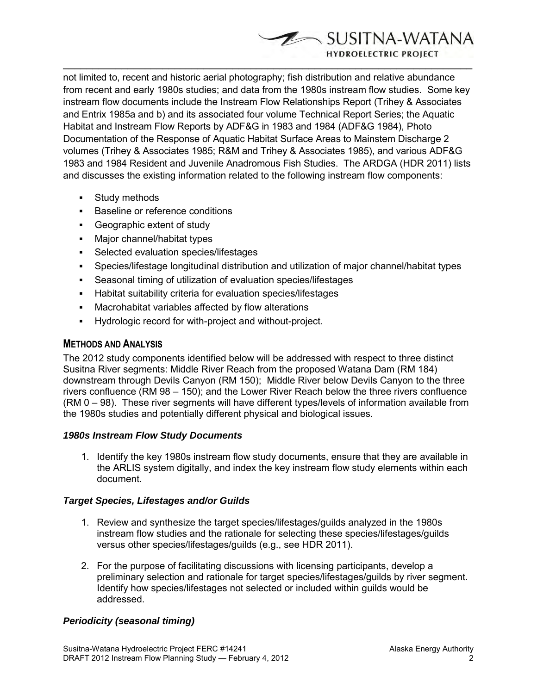SUSITNA-WATANA **HYDROELECTRIC PROJECT** 

not limited to, recent and historic aerial photography; fish distribution and relative abundance from recent and early 1980s studies; and data from the 1980s instream flow studies. Some key instream flow documents include the Instream Flow Relationships Report (Trihey & Associates and Entrix 1985a and b) and its associated four volume Technical Report Series; the Aquatic Habitat and Instream Flow Reports by ADF&G in 1983 and 1984 (ADF&G 1984), Photo Documentation of the Response of Aquatic Habitat Surface Areas to Mainstem Discharge 2 volumes (Trihey & Associates 1985; R&M and Trihey & Associates 1985), and various ADF&G 1983 and 1984 Resident and Juvenile Anadromous Fish Studies. The ARDGA (HDR 2011) lists and discusses the existing information related to the following instream flow components:

 $\overline{\phantom{a}}$  , and the contribution of the contribution of the contribution of the contribution of the contribution of the contribution of the contribution of the contribution of the contribution of the contribution of the

- **Study methods**
- **Baseline or reference conditions**
- Geographic extent of study
- **Major channel/habitat types**
- **Selected evaluation species/lifestages**
- Species/lifestage longitudinal distribution and utilization of major channel/habitat types
- Seasonal timing of utilization of evaluation species/lifestages
- Habitat suitability criteria for evaluation species/lifestages
- Macrohabitat variables affected by flow alterations
- Hydrologic record for with-project and without-project.

# **METHODS AND ANALYSIS**

The 2012 study components identified below will be addressed with respect to three distinct Susitna River segments: Middle River Reach from the proposed Watana Dam (RM 184) downstream through Devils Canyon (RM 150); Middle River below Devils Canyon to the three rivers confluence (RM 98 – 150); and the Lower River Reach below the three rivers confluence (RM 0 – 98). These river segments will have different types/levels of information available from the 1980s studies and potentially different physical and biological issues.

# *1980s Instream Flow Study Documents*

1. Identify the key 1980s instream flow study documents, ensure that they are available in the ARLIS system digitally, and index the key instream flow study elements within each document.

# *Target Species, Lifestages and/or Guilds*

- 1. Review and synthesize the target species/lifestages/guilds analyzed in the 1980s instream flow studies and the rationale for selecting these species/lifestages/guilds versus other species/lifestages/guilds (e.g., see HDR 2011).
- 2. For the purpose of facilitating discussions with licensing participants, develop a preliminary selection and rationale for target species/lifestages/guilds by river segment. Identify how species/lifestages not selected or included within guilds would be addressed.

# *Periodicity (seasonal timing)*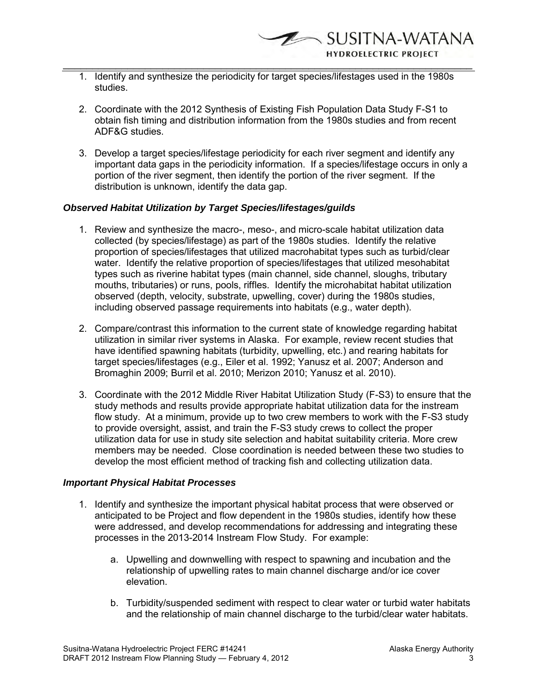- 1. Identify and synthesize the periodicity for target species/lifestages used in the 1980s studies.
- 2. Coordinate with the 2012 Synthesis of Existing Fish Population Data Study F-S1 to obtain fish timing and distribution information from the 1980s studies and from recent ADF&G studies.
- 3. Develop a target species/lifestage periodicity for each river segment and identify any important data gaps in the periodicity information. If a species/lifestage occurs in only a portion of the river segment, then identify the portion of the river segment. If the distribution is unknown, identify the data gap.

#### *Observed Habitat Utilization by Target Species/lifestages/guilds*

- 1. Review and synthesize the macro-, meso-, and micro-scale habitat utilization data collected (by species/lifestage) as part of the 1980s studies. Identify the relative proportion of species/lifestages that utilized macrohabitat types such as turbid/clear water. Identify the relative proportion of species/lifestages that utilized mesohabitat types such as riverine habitat types (main channel, side channel, sloughs, tributary mouths, tributaries) or runs, pools, riffles. Identify the microhabitat habitat utilization observed (depth, velocity, substrate, upwelling, cover) during the 1980s studies, including observed passage requirements into habitats (e.g., water depth).
- 2. Compare/contrast this information to the current state of knowledge regarding habitat utilization in similar river systems in Alaska. For example, review recent studies that have identified spawning habitats (turbidity, upwelling, etc.) and rearing habitats for target species/lifestages (e.g., Eiler et al. 1992; Yanusz et al. 2007; Anderson and Bromaghin 2009; Burril et al. 2010; Merizon 2010; Yanusz et al. 2010).
- 3. Coordinate with the 2012 Middle River Habitat Utilization Study (F-S3) to ensure that the study methods and results provide appropriate habitat utilization data for the instream flow study. At a minimum, provide up to two crew members to work with the F-S3 study to provide oversight, assist, and train the F-S3 study crews to collect the proper utilization data for use in study site selection and habitat suitability criteria. More crew members may be needed. Close coordination is needed between these two studies to develop the most efficient method of tracking fish and collecting utilization data.

#### *Important Physical Habitat Processes*

- 1. Identify and synthesize the important physical habitat process that were observed or anticipated to be Project and flow dependent in the 1980s studies, identify how these were addressed, and develop recommendations for addressing and integrating these processes in the 2013-2014 Instream Flow Study. For example:
	- a. Upwelling and downwelling with respect to spawning and incubation and the relationship of upwelling rates to main channel discharge and/or ice cover elevation.
	- b. Turbidity/suspended sediment with respect to clear water or turbid water habitats and the relationship of main channel discharge to the turbid/clear water habitats.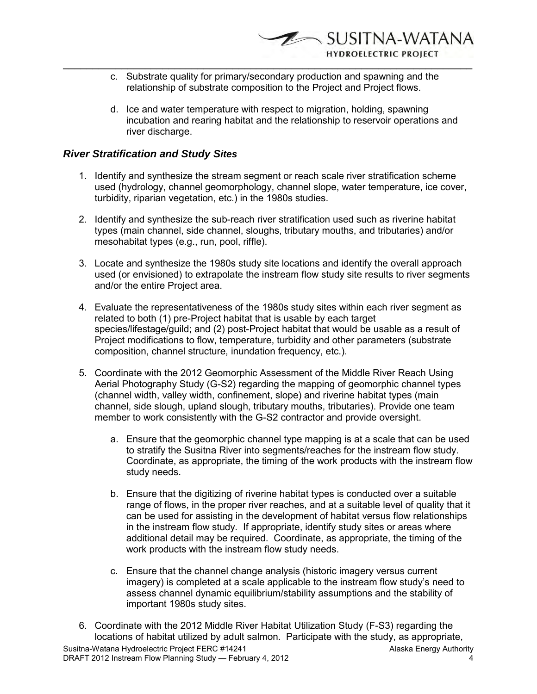- c. Substrate quality for primary/secondary production and spawning and the relationship of substrate composition to the Project and Project flows.
- d. Ice and water temperature with respect to migration, holding, spawning incubation and rearing habitat and the relationship to reservoir operations and river discharge.

# *River Stratification and Study Sites*

- 1. Identify and synthesize the stream segment or reach scale river stratification scheme used (hydrology, channel geomorphology, channel slope, water temperature, ice cover, turbidity, riparian vegetation, etc.) in the 1980s studies.
- 2. Identify and synthesize the sub-reach river stratification used such as riverine habitat types (main channel, side channel, sloughs, tributary mouths, and tributaries) and/or mesohabitat types (e.g., run, pool, riffle).
- 3. Locate and synthesize the 1980s study site locations and identify the overall approach used (or envisioned) to extrapolate the instream flow study site results to river segments and/or the entire Project area.
- 4. Evaluate the representativeness of the 1980s study sites within each river segment as related to both (1) pre-Project habitat that is usable by each target species/lifestage/guild; and (2) post-Project habitat that would be usable as a result of Project modifications to flow, temperature, turbidity and other parameters (substrate composition, channel structure, inundation frequency, etc.).
- 5. Coordinate with the 2012 Geomorphic Assessment of the Middle River Reach Using Aerial Photography Study (G-S2) regarding the mapping of geomorphic channel types (channel width, valley width, confinement, slope) and riverine habitat types (main channel, side slough, upland slough, tributary mouths, tributaries). Provide one team member to work consistently with the G-S2 contractor and provide oversight.
	- a. Ensure that the geomorphic channel type mapping is at a scale that can be used to stratify the Susitna River into segments/reaches for the instream flow study. Coordinate, as appropriate, the timing of the work products with the instream flow study needs.
	- b. Ensure that the digitizing of riverine habitat types is conducted over a suitable range of flows, in the proper river reaches, and at a suitable level of quality that it can be used for assisting in the development of habitat versus flow relationships in the instream flow study. If appropriate, identify study sites or areas where additional detail may be required. Coordinate, as appropriate, the timing of the work products with the instream flow study needs.
	- c. Ensure that the channel change analysis (historic imagery versus current imagery) is completed at a scale applicable to the instream flow study's need to assess channel dynamic equilibrium/stability assumptions and the stability of important 1980s study sites.
- Susitna-Watana Hydroelectric Project FERC #14241 Alaska Energy Authority DRAFT 2012 Instream Flow Planning Study — February 4, 2012 4 6. Coordinate with the 2012 Middle River Habitat Utilization Study (F-S3) regarding the locations of habitat utilized by adult salmon. Participate with the study, as appropriate,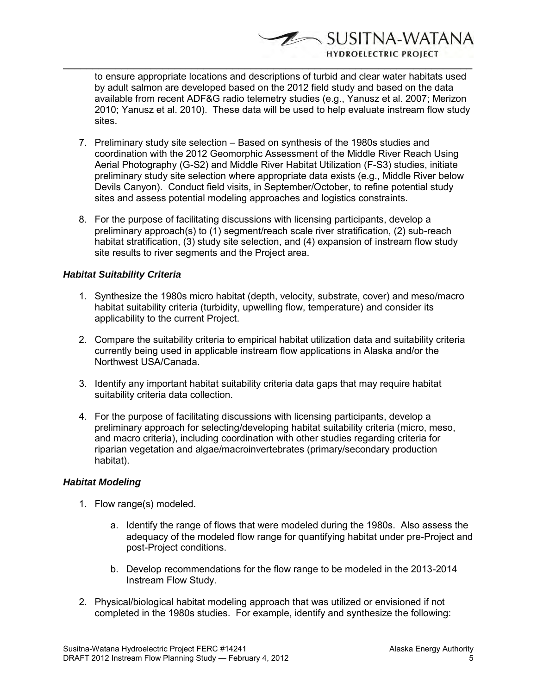to ensure appropriate locations and descriptions of turbid and clear water habitats used by adult salmon are developed based on the 2012 field study and based on the data available from recent ADF&G radio telemetry studies (e.g., Yanusz et al. 2007; Merizon 2010; Yanusz et al. 2010). These data will be used to help evaluate instream flow study sites.

SUSITNA-WATANA

**HYDROELECTRIC PROJECT** 

 $\overline{\phantom{a}}$  , and the contribution of the contribution of the contribution of the contribution of the contribution of the contribution of the contribution of the contribution of the contribution of the contribution of the

- 7. Preliminary study site selection Based on synthesis of the 1980s studies and coordination with the 2012 Geomorphic Assessment of the Middle River Reach Using Aerial Photography (G-S2) and Middle River Habitat Utilization (F-S3) studies, initiate preliminary study site selection where appropriate data exists (e.g., Middle River below Devils Canyon). Conduct field visits, in September/October, to refine potential study sites and assess potential modeling approaches and logistics constraints.
- 8. For the purpose of facilitating discussions with licensing participants, develop a preliminary approach(s) to (1) segment/reach scale river stratification, (2) sub-reach habitat stratification, (3) study site selection, and (4) expansion of instream flow study site results to river segments and the Project area.

## *Habitat Suitability Criteria*

- 1. Synthesize the 1980s micro habitat (depth, velocity, substrate, cover) and meso/macro habitat suitability criteria (turbidity, upwelling flow, temperature) and consider its applicability to the current Project.
- 2. Compare the suitability criteria to empirical habitat utilization data and suitability criteria currently being used in applicable instream flow applications in Alaska and/or the Northwest USA/Canada.
- 3. Identify any important habitat suitability criteria data gaps that may require habitat suitability criteria data collection.
- 4. For the purpose of facilitating discussions with licensing participants, develop a preliminary approach for selecting/developing habitat suitability criteria (micro, meso, and macro criteria), including coordination with other studies regarding criteria for riparian vegetation and algae/macroinvertebrates (primary/secondary production habitat).

## *Habitat Modeling*

- 1. Flow range(s) modeled.
	- a. Identify the range of flows that were modeled during the 1980s. Also assess the adequacy of the modeled flow range for quantifying habitat under pre-Project and post-Project conditions.
	- b. Develop recommendations for the flow range to be modeled in the 2013-2014 Instream Flow Study.
- 2. Physical/biological habitat modeling approach that was utilized or envisioned if not completed in the 1980s studies. For example, identify and synthesize the following: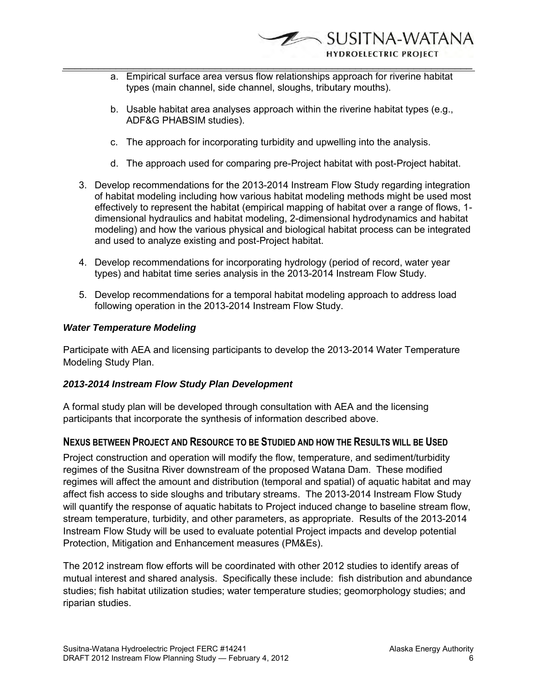- a. Empirical surface area versus flow relationships approach for riverine habitat types (main channel, side channel, sloughs, tributary mouths).
- b. Usable habitat area analyses approach within the riverine habitat types (e.g., ADF&G PHABSIM studies).
- c. The approach for incorporating turbidity and upwelling into the analysis.
- d. The approach used for comparing pre-Project habitat with post-Project habitat.
- 3. Develop recommendations for the 2013-2014 Instream Flow Study regarding integration of habitat modeling including how various habitat modeling methods might be used most effectively to represent the habitat (empirical mapping of habitat over a range of flows, 1 dimensional hydraulics and habitat modeling, 2-dimensional hydrodynamics and habitat modeling) and how the various physical and biological habitat process can be integrated and used to analyze existing and post-Project habitat.
- 4. Develop recommendations for incorporating hydrology (period of record, water year types) and habitat time series analysis in the 2013-2014 Instream Flow Study.
- 5. Develop recommendations for a temporal habitat modeling approach to address load following operation in the 2013-2014 Instream Flow Study.

## *Water Temperature Modeling*

Participate with AEA and licensing participants to develop the 2013-2014 Water Temperature Modeling Study Plan.

## *2013-2014 Instream Flow Study Plan Development*

A formal study plan will be developed through consultation with AEA and the licensing participants that incorporate the synthesis of information described above.

## **NEXUS BETWEEN PROJECT AND RESOURCE TO BE STUDIED AND HOW THE RESULTS WILL BE USED**

Project construction and operation will modify the flow, temperature, and sediment/turbidity regimes of the Susitna River downstream of the proposed Watana Dam. These modified regimes will affect the amount and distribution (temporal and spatial) of aquatic habitat and may affect fish access to side sloughs and tributary streams. The 2013-2014 Instream Flow Study will quantify the response of aquatic habitats to Project induced change to baseline stream flow, stream temperature, turbidity, and other parameters, as appropriate. Results of the 2013-2014 Instream Flow Study will be used to evaluate potential Project impacts and develop potential Protection, Mitigation and Enhancement measures (PM&Es).

The 2012 instream flow efforts will be coordinated with other 2012 studies to identify areas of mutual interest and shared analysis. Specifically these include: fish distribution and abundance studies; fish habitat utilization studies; water temperature studies; geomorphology studies; and riparian studies.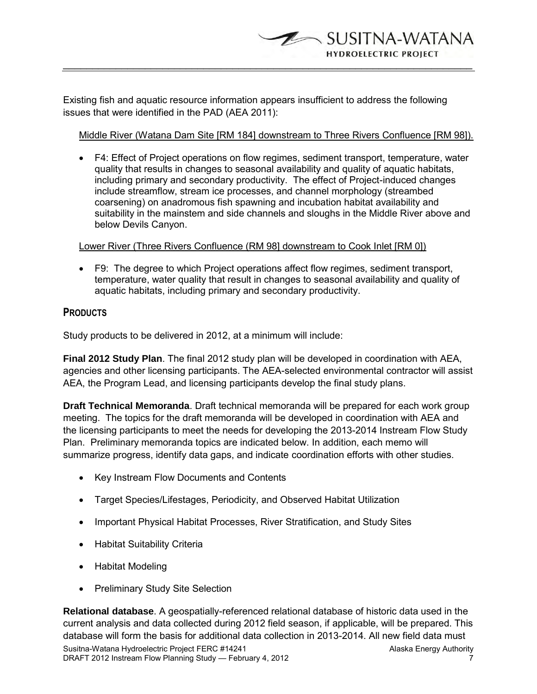Existing fish and aquatic resource information appears insufficient to address the following issues that were identified in the PAD (AEA 2011):

 $\overline{\phantom{a}}$  , and the contribution of the contribution of the contribution of the contribution of the contribution of the contribution of the contribution of the contribution of the contribution of the contribution of the

SUSITNA-WATANA **HYDROELECTRIC PROJECT** 

Middle River (Watana Dam Site [RM 184] downstream to Three Rivers Confluence [RM 98]).

 F4: Effect of Project operations on flow regimes, sediment transport, temperature, water quality that results in changes to seasonal availability and quality of aquatic habitats, including primary and secondary productivity. The effect of Project-induced changes include streamflow, stream ice processes, and channel morphology (streambed coarsening) on anadromous fish spawning and incubation habitat availability and suitability in the mainstem and side channels and sloughs in the Middle River above and below Devils Canyon.

## Lower River (Three Rivers Confluence (RM 98] downstream to Cook Inlet [RM 0])

 F9: The degree to which Project operations affect flow regimes, sediment transport, temperature, water quality that result in changes to seasonal availability and quality of aquatic habitats, including primary and secondary productivity.

# **PRODUCTS**

Study products to be delivered in 2012, at a minimum will include:

**Final 2012 Study Plan**. The final 2012 study plan will be developed in coordination with AEA, agencies and other licensing participants. The AEA-selected environmental contractor will assist AEA, the Program Lead, and licensing participants develop the final study plans.

**Draft Technical Memoranda**. Draft technical memoranda will be prepared for each work group meeting. The topics for the draft memoranda will be developed in coordination with AEA and the licensing participants to meet the needs for developing the 2013-2014 Instream Flow Study Plan. Preliminary memoranda topics are indicated below. In addition, each memo will summarize progress, identify data gaps, and indicate coordination efforts with other studies.

- Key Instream Flow Documents and Contents
- Target Species/Lifestages, Periodicity, and Observed Habitat Utilization
- Important Physical Habitat Processes, River Stratification, and Study Sites
- Habitat Suitability Criteria
- Habitat Modeling
- Preliminary Study Site Selection

**Relational database**. A geospatially-referenced relational database of historic data used in the current analysis and data collected during 2012 field season, if applicable, will be prepared. This database will form the basis for additional data collection in 2013-2014. All new field data must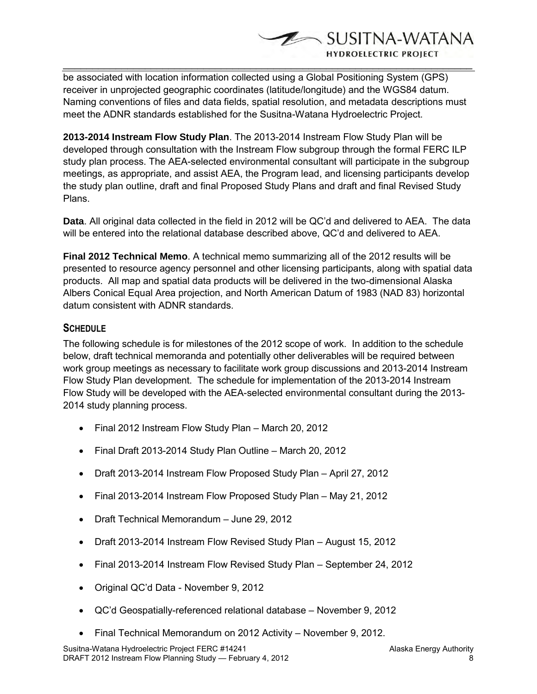SUSITNA-WATANA **HYDROELECTRIC PROJECT** 

be associated with location information collected using a Global Positioning System (GPS) receiver in unprojected geographic coordinates (latitude/longitude) and the WGS84 datum. Naming conventions of files and data fields, spatial resolution, and metadata descriptions must meet the ADNR standards established for the Susitna-Watana Hydroelectric Project.

 $\overline{\phantom{a}}$  , and the contribution of the contribution of the contribution of the contribution of the contribution of the contribution of the contribution of the contribution of the contribution of the contribution of the

**2013-2014 Instream Flow Study Plan**. The 2013-2014 Instream Flow Study Plan will be developed through consultation with the Instream Flow subgroup through the formal FERC ILP study plan process. The AEA-selected environmental consultant will participate in the subgroup meetings, as appropriate, and assist AEA, the Program lead, and licensing participants develop the study plan outline, draft and final Proposed Study Plans and draft and final Revised Study Plans.

**Data**. All original data collected in the field in 2012 will be QC'd and delivered to AEA. The data will be entered into the relational database described above, QC'd and delivered to AEA.

**Final 2012 Technical Memo**. A technical memo summarizing all of the 2012 results will be presented to resource agency personnel and other licensing participants, along with spatial data products. All map and spatial data products will be delivered in the two-dimensional Alaska Albers Conical Equal Area projection, and North American Datum of 1983 (NAD 83) horizontal datum consistent with ADNR standards.

# **SCHEDULE**

The following schedule is for milestones of the 2012 scope of work. In addition to the schedule below, draft technical memoranda and potentially other deliverables will be required between work group meetings as necessary to facilitate work group discussions and 2013-2014 Instream Flow Study Plan development. The schedule for implementation of the 2013-2014 Instream Flow Study will be developed with the AEA-selected environmental consultant during the 2013- 2014 study planning process.

- Final 2012 Instream Flow Study Plan March 20, 2012
- Final Draft 2013-2014 Study Plan Outline March 20, 2012
- Draft 2013-2014 Instream Flow Proposed Study Plan April 27, 2012
- Final 2013-2014 Instream Flow Proposed Study Plan May 21, 2012
- Draft Technical Memorandum June 29, 2012
- Draft 2013-2014 Instream Flow Revised Study Plan August 15, 2012
- Final 2013-2014 Instream Flow Revised Study Plan September 24, 2012
- Original QC'd Data November 9, 2012
- QC'd Geospatially-referenced relational database November 9, 2012
- Final Technical Memorandum on 2012 Activity November 9, 2012.